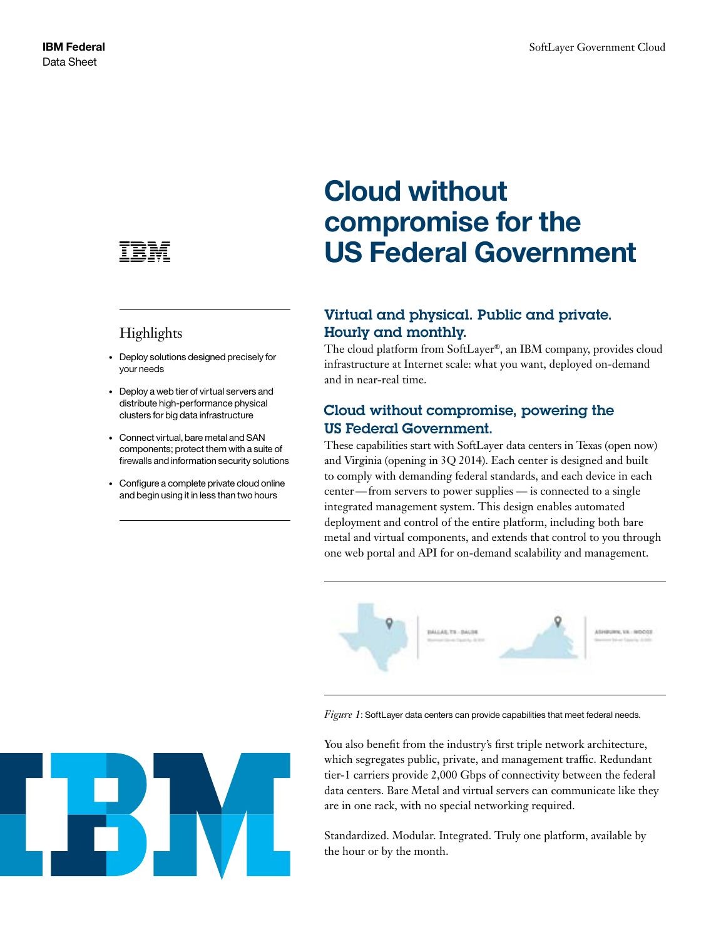

## Highlights

- Deploy solutions designed precisely for your needs
- Deploy a web tier of virtual servers and distribute high-performance physical clusters for big data infrastructure
- Connect virtual, bare metal and SAN components; protect them with a suite of firewalls and information security solutions
- Configure a complete private cloud online and begin using it in less than two hours

# **Cloud without compromise for the US Federal Government**

### Virtual and physical. Public and private. Hourly and monthly.

The cloud platform from SoftLayer®, an IBM company, provides cloud infrastructure at Internet scale: what you want, deployed on-demand and in near-real time.

#### Cloud without compromise, powering the US Federal Government.

These capabilities start with SoftLayer data centers in Texas (open now) and Virginia (opening in 3Q 2014). Each center is designed and built to comply with demanding federal standards, and each device in each center—from servers to power supplies — is connected to a single integrated management system. This design enables automated deployment and control of the entire platform, including both bare metal and virtual components, and extends that control to you through one web portal and API for on-demand scalability and management.



*Figure 1*: SoftLayer data centers can provide capabilities that meet federal needs.

You also benefit from the industry's first triple network architecture, which segregates public, private, and management traffic. Redundant tier-1 carriers provide 2,000 Gbps of connectivity between the federal data centers. Bare Metal and virtual servers can communicate like they are in one rack, with no special networking required.

Standardized. Modular. Integrated. Truly one platform, available by the hour or by the month.